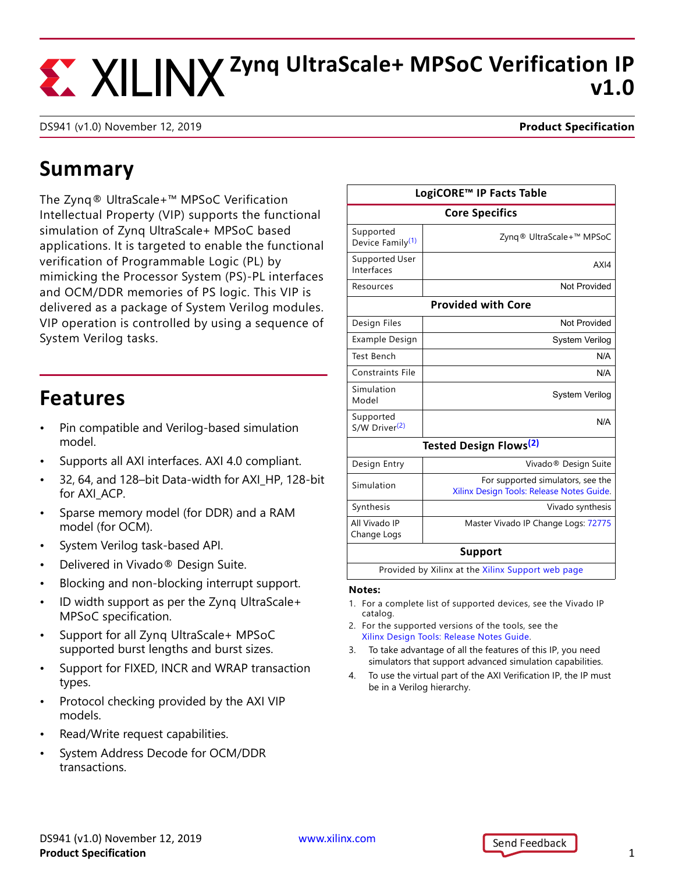## **Zynq UltraScale+ MPSoC Verification IP v1.0**

DS941 (v1.0) November 12, 2019 **Product Specification**

### **Summary**

The Zynq® UltraScale+™ MPSoC Verification Intellectual Property (VIP) supports the functional simulation of Zynq UltraScale+ MPSoC based applications. It is targeted to enable the functional verification of Programmable Logic (PL) by mimicking the Processor System (PS)-PL interfaces and OCM/DDR memories of PS logic. This VIP is delivered as a package of System Verilog modules. VIP operation is controlled by using a sequence of System Verilog tasks.

### **Features**

- Pin compatible and Verilog-based simulation model.
- Supports all AXI interfaces. AXI 4.0 compliant.
- 32, 64, and 128–bit Data-width for AXI\_HP, 128-bit for AXI ACP.
- Sparse memory model (for DDR) and a RAM model (for OCM).
- System Verilog task-based API.
- Delivered in Vivado® Design Suite.
- Blocking and non-blocking interrupt support.
- ID width support as per the Zynq UltraScale+ MPSoC specification.
- Support for all Zynq UltraScale+ MPSoC supported burst lengths and burst sizes.
- Support for FIXED, INCR and WRAP transaction types.
- Protocol checking provided by the AXI VIP models.
- Read/Write request capabilities.
- System Address Decode for OCM/DDR transactions.

| LogiCORE™ IP Facts Table                          |                                                                                |
|---------------------------------------------------|--------------------------------------------------------------------------------|
| <b>Core Specifics</b>                             |                                                                                |
| Supported<br>Device Family <sup>(1)</sup>         | Zyng® UltraScale+™ MPSoC                                                       |
| Supported User<br>Interfaces                      | AXI4                                                                           |
| Resources                                         | Not Provided                                                                   |
|                                                   | <b>Provided with Core</b>                                                      |
| Design Files                                      | Not Provided                                                                   |
| Example Design                                    | System Verilog                                                                 |
| <b>Test Bench</b>                                 | N/A                                                                            |
| Constraints File                                  | N/A                                                                            |
| Simulation<br>Model                               | System Verilog                                                                 |
| Supported<br>S/W Driver <sup>(2)</sup>            | N/A                                                                            |
| <b>Tested Design Flows<sup>(2)</sup></b>          |                                                                                |
| Design Entry                                      | Vivado <sup>®</sup> Design Suite                                               |
| Simulation                                        | For supported simulators, see the<br>Xilinx Design Tools: Release Notes Guide. |
| Synthesis                                         | Vivado synthesis                                                               |
| All Vivado IP<br>Change Logs                      | Master Vivado IP Change Logs: 72775                                            |
| <b>Support</b>                                    |                                                                                |
| Provided by Xilinx at the Xilinx Support web page |                                                                                |
|                                                   |                                                                                |

#### **Notes:**

- <span id="page-0-0"></span>1. For a complete list of supported devices, see the Vivado IP catalog.
- <span id="page-0-1"></span>2. For the supported versions of the tools, see the [Xilinx Design Tools: Release Notes Guide](http://www.xilinx.com/cgi-bin/docs/rdoc?v=2019.2;t=vivado+release+notes).
- 3. To take advantage of all the features of this IP, you need simulators that support advanced simulation capabilities.
- 4. To use the virtual part of the AXI Verification IP, the IP must be in a Verilog hierarchy.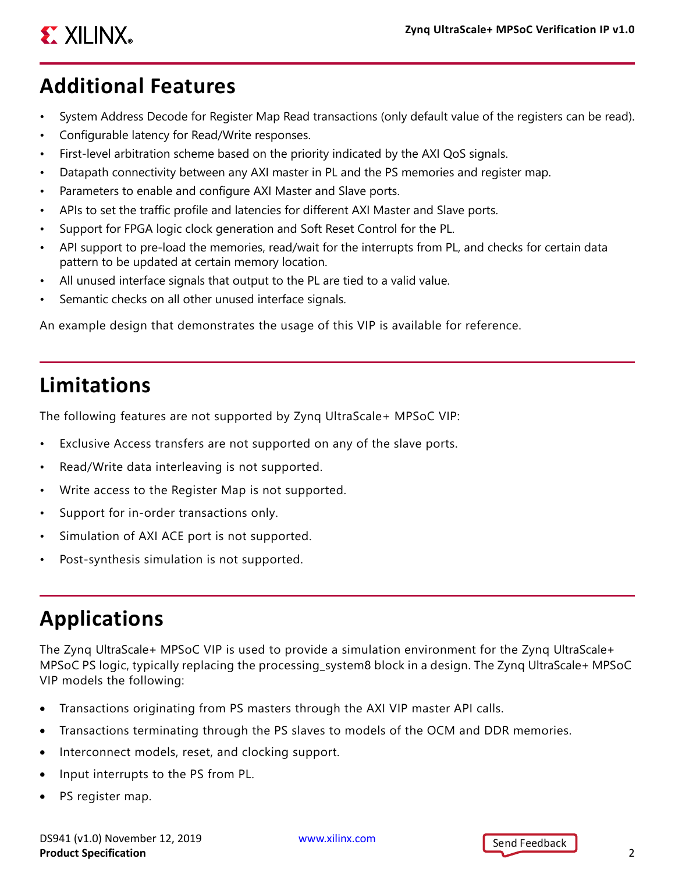# **EX XILINX**

## **Additional Features**

- System Address Decode for Register Map Read transactions (only default value of the registers can be read).
- Configurable latency for Read/Write responses.
- First-level arbitration scheme based on the priority indicated by the AXI QoS signals.
- Datapath connectivity between any AXI master in PL and the PS memories and register map.
- Parameters to enable and configure AXI Master and Slave ports.
- APIs to set the traffic profile and latencies for different AXI Master and Slave ports.
- Support for FPGA logic clock generation and Soft Reset Control for the PL.
- API support to pre-load the memories, read/wait for the interrupts from PL, and checks for certain data pattern to be updated at certain memory location.
- All unused interface signals that output to the PL are tied to a valid value.
- Semantic checks on all other unused interface signals.

An example design that demonstrates the usage of this VIP is available for reference.

## **Limitations**

The following features are not supported by Zynq UltraScale+ MPSoC VIP:

- Exclusive Access transfers are not supported on any of the slave ports.
- Read/Write data interleaving is not supported.
- Write access to the Register Map is not supported.
- Support for in-order transactions only.
- Simulation of AXI ACE port is not supported.
- Post-synthesis simulation is not supported.

## **Applications**

The Zynq UltraScale+ MPSoC VIP is used to provide a simulation environment for the Zynq UltraScale+ MPSoC PS logic, typically replacing the processing\_system8 block in a design. The Zynq UltraScale+ MPSoC VIP models the following:

- Transactions originating from PS masters through the AXI VIP master API calls.
- Transactions terminating through the PS slaves to models of the OCM and DDR memories.
- Interconnect models, reset, and clocking support.
- Input interrupts to the PS from PL.
- PS register map.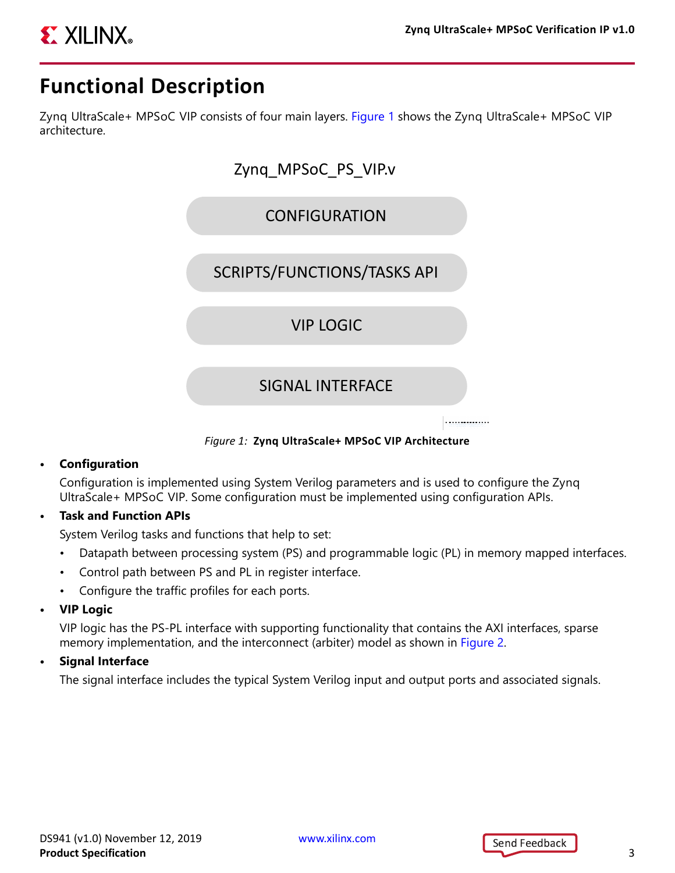

### **Functional Description**

<span id="page-2-0"></span>Zynq UltraScale+ MPSoC VIP consists of four main layers. [Figure 1](#page-2-0) shows the Zynq UltraScale+ MPSoC VIP architecture.



*Figure 1:* **Zynq UltraScale+ MPSoC VIP Architecture**

#### **• Configuration**

Configuration is implemented using System Verilog parameters and is used to configure the Zynq UltraScale+ MPSoC VIP. Some configuration must be implemented using configuration APIs.

**• Task and Function APIs**

System Verilog tasks and functions that help to set:

- Datapath between processing system (PS) and programmable logic (PL) in memory mapped interfaces.
- Control path between PS and PL in register interface.
- Configure the traffic profiles for each ports.
- **VIP Logic**

VIP logic has the PS-PL interface with supporting functionality that contains the AXI interfaces, sparse memory implementation, and the interconnect (arbiter) model as shown in [Figure 2](#page-3-0).

**• Signal Interface**

The signal interface includes the typical System Verilog input and output ports and associated signals.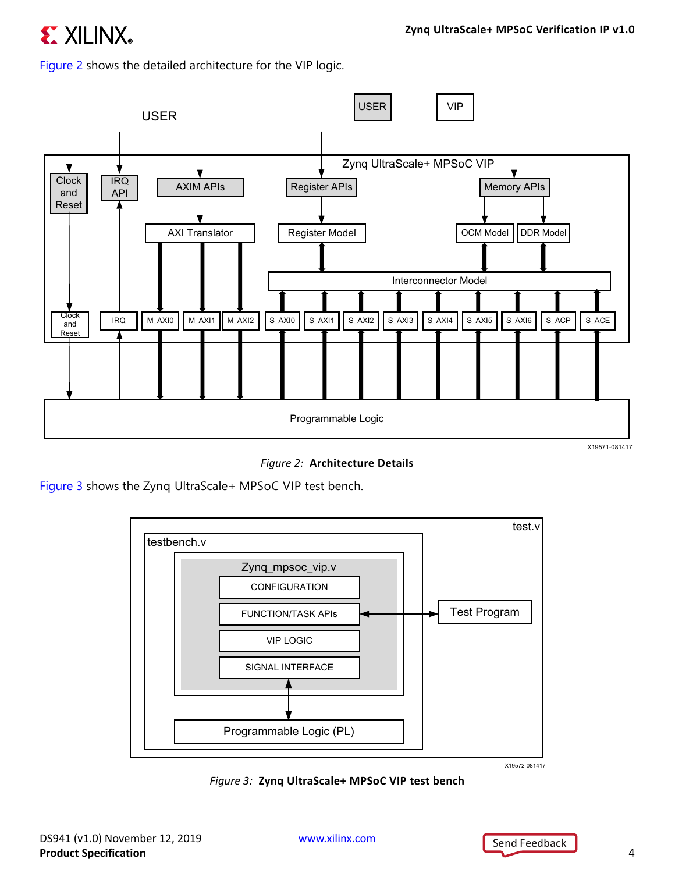## **EXILINX**

Figure 2 shows the detailed architecture for the VIP logic.

<span id="page-3-0"></span>

*Figure 2:* **Architecture Details**

<span id="page-3-1"></span>[Figure 3](#page-3-1) shows the Zynq UltraScale+ MPSoC VIP test bench.



*Figure 3:* **Zynq UltraScale+ MPSoC VIP test bench**

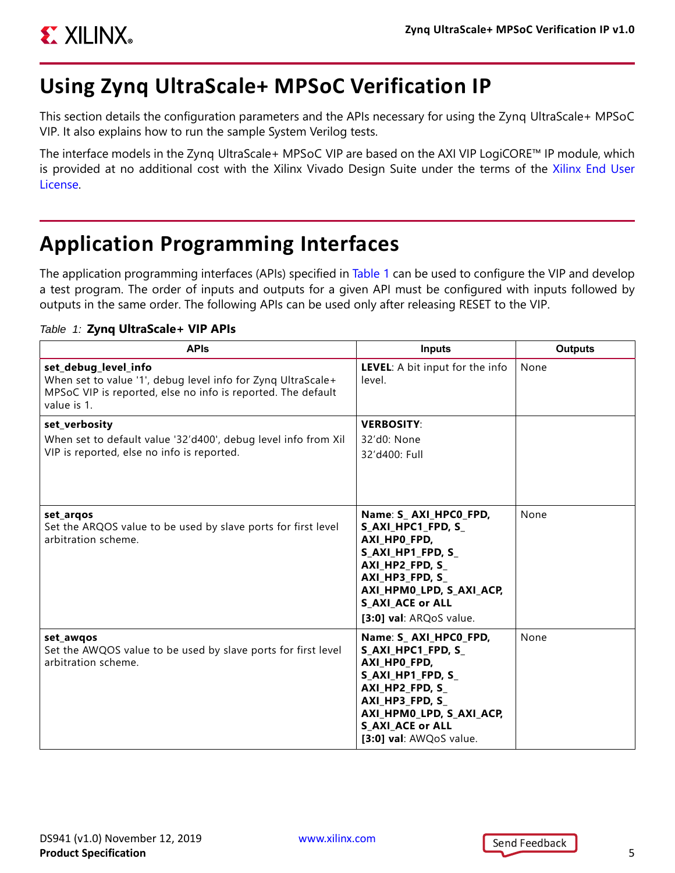

### **Using Zynq UltraScale+ MPSoC Verification IP**

This section details the configuration parameters and the APIs necessary for using the Zynq UltraScale+ MPSoC VIP. It also explains how to run the sample System Verilog tests.

The interface models in the Zynq UltraScale+ MPSoC VIP are based on the AXI VIP LogiCORE™ IP module, which is provided at no additional cost with the Xilinx Vivado Design Suite under the terms of the [Xilinx End User](https://www.xilinx.com/cgi-bin/docs/rdoc?d=end-user-license-agreement.txt) [License](https://www.xilinx.com/cgi-bin/docs/rdoc?d=end-user-license-agreement.txt).

### **Application Programming Interfaces**

The application programming interfaces (APIs) specified in [Table 1](#page-4-0) can be used to configure the VIP and develop a test program. The order of inputs and outputs for a given API must be configured with inputs followed by outputs in the same order. The following APIs can be used only after releasing RESET to the VIP.

#### <span id="page-4-0"></span>*Table 1:* **Zynq UltraScale+ VIP APIs**

| <b>APIS</b>                                                                                                                                                         | <b>Inputs</b>                                                                                                                                                                                            | <b>Outputs</b> |
|---------------------------------------------------------------------------------------------------------------------------------------------------------------------|----------------------------------------------------------------------------------------------------------------------------------------------------------------------------------------------------------|----------------|
| set_debug_level_info<br>When set to value '1', debug level info for Zyng UltraScale+<br>MPSoC VIP is reported, else no info is reported. The default<br>value is 1. | LEVEL: A bit input for the info<br>level.                                                                                                                                                                | None           |
| set_verbosity<br>When set to default value '32'd400', debug level info from Xil<br>VIP is reported, else no info is reported.                                       | <b>VERBOSITY:</b><br>32'd0: None<br>32'd400: Full                                                                                                                                                        |                |
| set_arqos<br>Set the ARQOS value to be used by slave ports for first level<br>arbitration scheme.                                                                   | Name: S_AXI_HPC0_FPD,<br>S_AXI_HPC1_FPD, S_<br>AXI_HPO_FPD,<br>S_AXI_HP1_FPD, S_<br>AXI HP2 FPD, S<br>AXI HP3 FPD, S<br>AXI_HPM0_LPD, S_AXI_ACP,<br><b>S AXI ACE or ALL</b><br>[3:0] val: ARQoS value.   | None           |
| set awgos<br>Set the AWQOS value to be used by slave ports for first level<br>arbitration scheme.                                                                   | Name: S_ AXI_HPC0_FPD,<br>S_AXI_HPC1_FPD, S_<br>AXI_HPO_FPD,<br>S AXI HP1 FPD, S<br>AXI_HP2_FPD, S_<br>AXI_HP3_FPD, S_<br>AXI_HPM0_LPD, S_AXI_ACP,<br><b>S_AXI_ACE or ALL</b><br>[3:0] val: AWQoS value. | None           |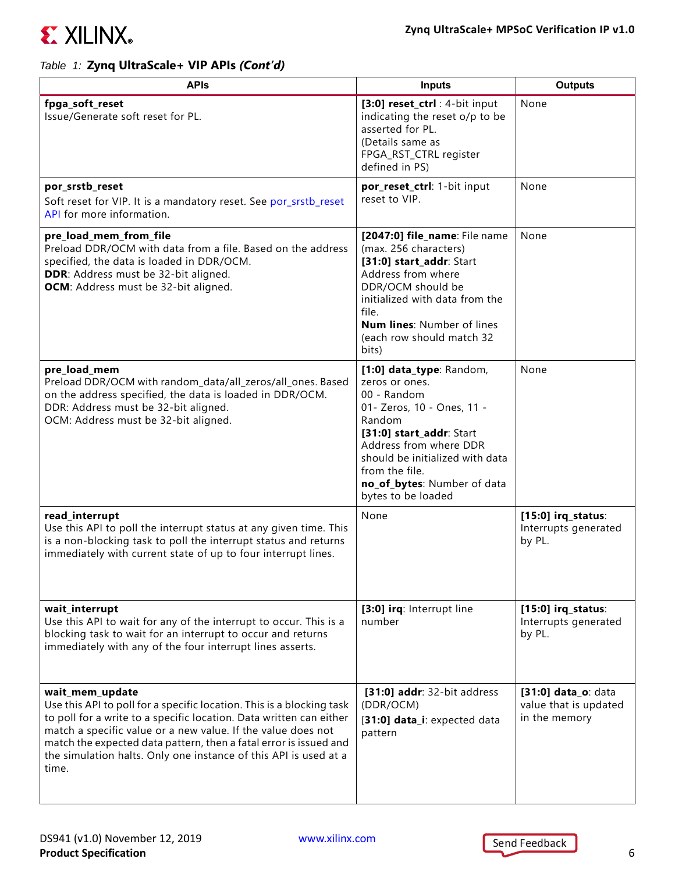

| <b>APIS</b>                                                                                                                                                                                                                                                                                                                                                                       | <b>Inputs</b>                                                                                                                                                                                                                                                     | <b>Outputs</b>                                                |  |
|-----------------------------------------------------------------------------------------------------------------------------------------------------------------------------------------------------------------------------------------------------------------------------------------------------------------------------------------------------------------------------------|-------------------------------------------------------------------------------------------------------------------------------------------------------------------------------------------------------------------------------------------------------------------|---------------------------------------------------------------|--|
| fpga_soft_reset<br>Issue/Generate soft reset for PL.                                                                                                                                                                                                                                                                                                                              | [3:0] reset_ctrl : 4-bit input<br>indicating the reset o/p to be<br>asserted for PL.<br>(Details same as<br>FPGA_RST_CTRL register<br>defined in PS)                                                                                                              | None                                                          |  |
| por_srstb_reset<br>Soft reset for VIP. It is a mandatory reset. See por_srstb_reset<br>API for more information.                                                                                                                                                                                                                                                                  | por_reset_ctrl: 1-bit input<br>reset to VIP.                                                                                                                                                                                                                      | None                                                          |  |
| pre_load_mem_from_file<br>Preload DDR/OCM with data from a file. Based on the address<br>specified, the data is loaded in DDR/OCM.<br>DDR: Address must be 32-bit aligned.<br>OCM: Address must be 32-bit aligned.                                                                                                                                                                | [2047:0] file_name: File name<br>(max. 256 characters)<br>[31:0] start_addr: Start<br>Address from where<br>DDR/OCM should be<br>initialized with data from the<br>file.<br><b>Num lines: Number of lines</b><br>(each row should match 32<br>bits)               | None                                                          |  |
| pre_load_mem<br>Preload DDR/OCM with random_data/all_zeros/all_ones. Based<br>on the address specified, the data is loaded in DDR/OCM.<br>DDR: Address must be 32-bit aligned.<br>OCM: Address must be 32-bit aligned.                                                                                                                                                            | [1:0] data_type: Random,<br>zeros or ones.<br>00 - Random<br>01- Zeros, 10 - Ones, 11 -<br>Random<br>[31:0] start_addr: Start<br>Address from where DDR<br>should be initialized with data<br>from the file.<br>no_of_bytes: Number of data<br>bytes to be loaded | None                                                          |  |
| read_interrupt<br>Use this API to poll the interrupt status at any given time. This<br>is a non-blocking task to poll the interrupt status and returns<br>immediately with current state of up to four interrupt lines.                                                                                                                                                           | None                                                                                                                                                                                                                                                              | $[15:0]$ irq_status:<br>Interrupts generated<br>by PL.        |  |
| wait_interrupt<br>Use this API to wait for any of the interrupt to occur. This is a<br>blocking task to wait for an interrupt to occur and returns<br>immediately with any of the four interrupt lines asserts.                                                                                                                                                                   | [3:0] irq: Interrupt line<br>number                                                                                                                                                                                                                               | $[15:0]$ irq_status:<br>Interrupts generated<br>by PL.        |  |
| wait_mem_update<br>Use this API to poll for a specific location. This is a blocking task<br>to poll for a write to a specific location. Data written can either<br>match a specific value or a new value. If the value does not<br>match the expected data pattern, then a fatal error is issued and<br>the simulation halts. Only one instance of this API is used at a<br>time. | [31:0] addr: 32-bit address<br>(DDR/OCM)<br>[31:0] data_i: expected data<br>pattern                                                                                                                                                                               | [31:0] data_o: data<br>value that is updated<br>in the memory |  |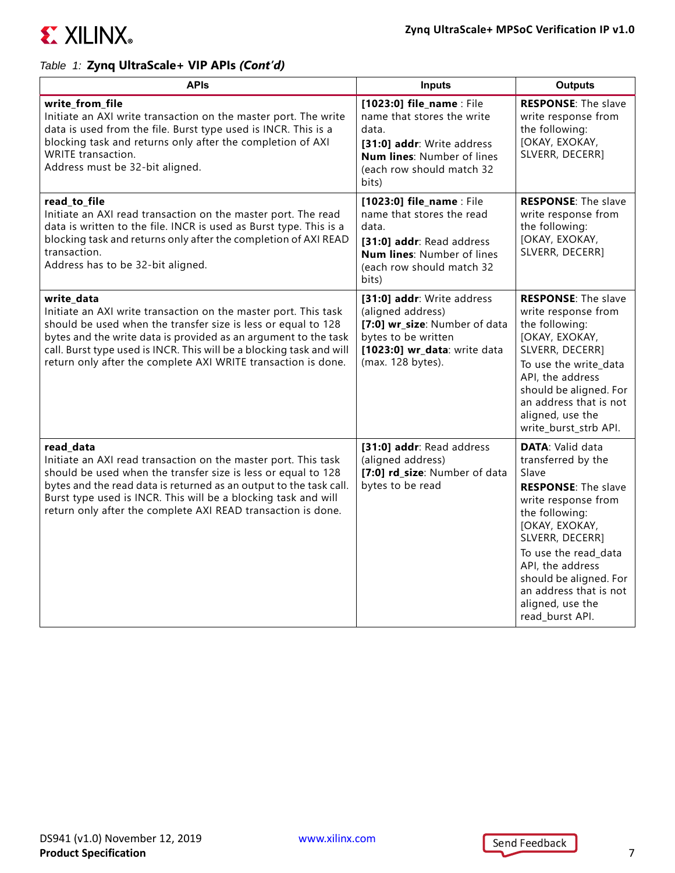

| <b>APIs</b>                                                                                                                                                                                                                                                                                                                                                | <b>Inputs</b>                                                                                                                                                      | <b>Outputs</b>                                                                                                                                                                                                                                                                                            |
|------------------------------------------------------------------------------------------------------------------------------------------------------------------------------------------------------------------------------------------------------------------------------------------------------------------------------------------------------------|--------------------------------------------------------------------------------------------------------------------------------------------------------------------|-----------------------------------------------------------------------------------------------------------------------------------------------------------------------------------------------------------------------------------------------------------------------------------------------------------|
| write_from_file<br>Initiate an AXI write transaction on the master port. The write<br>data is used from the file. Burst type used is INCR. This is a<br>blocking task and returns only after the completion of AXI<br><b>WRITE</b> transaction.<br>Address must be 32-bit aligned.                                                                         | [1023:0] file_name : File<br>name that stores the write<br>data.<br>[31:0] addr: Write address<br>Num lines: Number of lines<br>(each row should match 32<br>bits) | <b>RESPONSE: The slave</b><br>write response from<br>the following:<br>[OKAY, EXOKAY,<br>SLVERR, DECERR]                                                                                                                                                                                                  |
| read_to_file<br>Initiate an AXI read transaction on the master port. The read<br>data is written to the file. INCR is used as Burst type. This is a<br>blocking task and returns only after the completion of AXI READ<br>transaction.<br>Address has to be 32-bit aligned.                                                                                | [1023:0] file_name : File<br>name that stores the read<br>data.<br>[31:0] addr: Read address<br>Num lines: Number of lines<br>(each row should match 32<br>bits)   | <b>RESPONSE: The slave</b><br>write response from<br>the following:<br>[OKAY, EXOKAY,<br>SLVERR, DECERR]                                                                                                                                                                                                  |
| write_data<br>Initiate an AXI write transaction on the master port. This task<br>should be used when the transfer size is less or equal to 128<br>bytes and the write data is provided as an argument to the task<br>call. Burst type used is INCR. This will be a blocking task and will<br>return only after the complete AXI WRITE transaction is done. | [31:0] addr: Write address<br>(aligned address)<br>[7:0] wr_size: Number of data<br>bytes to be written<br>[1023:0] wr_data: write data<br>(max. 128 bytes).       | <b>RESPONSE: The slave</b><br>write response from<br>the following:<br>[OKAY, EXOKAY,<br>SLVERR, DECERR]<br>To use the write_data<br>API, the address<br>should be aligned. For<br>an address that is not<br>aligned, use the<br>write_burst_strb API.                                                    |
| read_data<br>Initiate an AXI read transaction on the master port. This task<br>should be used when the transfer size is less or equal to 128<br>bytes and the read data is returned as an output to the task call.<br>Burst type used is INCR. This will be a blocking task and will<br>return only after the complete AXI READ transaction is done.       | [31:0] addr: Read address<br>(aligned address)<br>[7:0] rd_size: Number of data<br>bytes to be read                                                                | <b>DATA: Valid data</b><br>transferred by the<br>Slave<br><b>RESPONSE: The slave</b><br>write response from<br>the following:<br>[OKAY, EXOKAY,<br>SLVERR, DECERR]<br>To use the read_data<br>API, the address<br>should be aligned. For<br>an address that is not<br>aligned, use the<br>read_burst API. |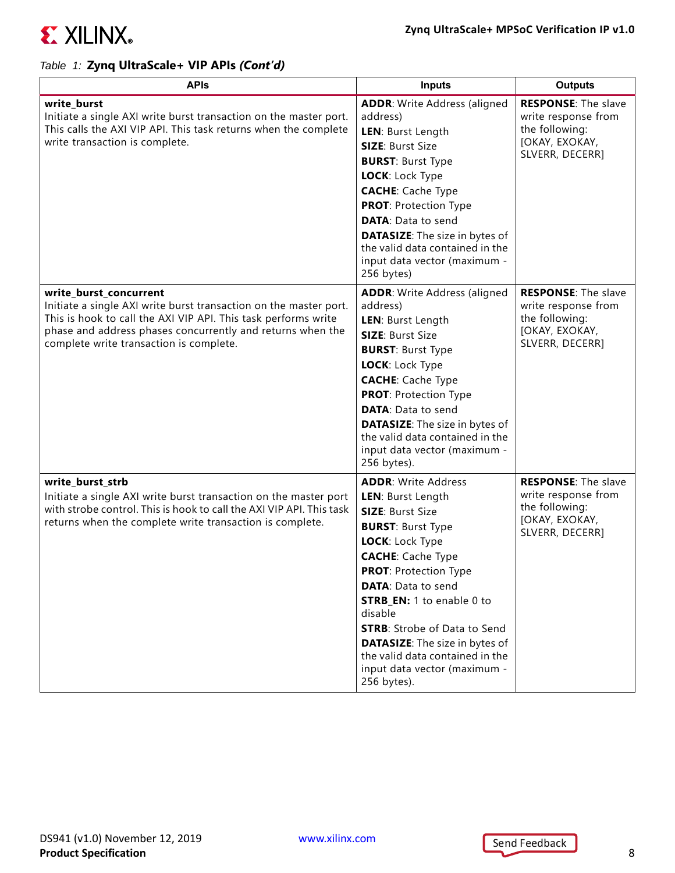

| <b>APIs</b>                                                                                                                                                                                                                                                            | <b>Inputs</b>                                                                                                                                                                                                                                                                                                                                                                                                                       | <b>Outputs</b>                                                                                           |
|------------------------------------------------------------------------------------------------------------------------------------------------------------------------------------------------------------------------------------------------------------------------|-------------------------------------------------------------------------------------------------------------------------------------------------------------------------------------------------------------------------------------------------------------------------------------------------------------------------------------------------------------------------------------------------------------------------------------|----------------------------------------------------------------------------------------------------------|
| write_burst<br>Initiate a single AXI write burst transaction on the master port.<br>This calls the AXI VIP API. This task returns when the complete<br>write transaction is complete.                                                                                  | <b>ADDR: Write Address (aligned</b><br>address)<br>LEN: Burst Length<br><b>SIZE: Burst Size</b><br><b>BURST: Burst Type</b><br>LOCK: Lock Type<br><b>CACHE:</b> Cache Type<br><b>PROT: Protection Type</b><br><b>DATA: Data to send</b><br><b>DATASIZE:</b> The size in bytes of<br>the valid data contained in the<br>input data vector (maximum -<br>256 bytes)                                                                   | <b>RESPONSE: The slave</b><br>write response from<br>the following:<br>[OKAY, EXOKAY,<br>SLVERR, DECERR] |
| write_burst_concurrent<br>Initiate a single AXI write burst transaction on the master port.<br>This is hook to call the AXI VIP API. This task performs write<br>phase and address phases concurrently and returns when the<br>complete write transaction is complete. | <b>ADDR: Write Address (aligned</b><br>address)<br>LEN: Burst Length<br><b>SIZE: Burst Size</b><br><b>BURST: Burst Type</b><br>LOCK: Lock Type<br><b>CACHE:</b> Cache Type<br><b>PROT: Protection Type</b><br><b>DATA: Data to send</b><br><b>DATASIZE:</b> The size in bytes of<br>the valid data contained in the<br>input data vector (maximum -<br>256 bytes).                                                                  | <b>RESPONSE: The slave</b><br>write response from<br>the following:<br>[OKAY, EXOKAY,<br>SLVERR, DECERR] |
| write_burst_strb<br>Initiate a single AXI write burst transaction on the master port<br>with strobe control. This is hook to call the AXI VIP API. This task<br>returns when the complete write transaction is complete.                                               | <b>ADDR: Write Address</b><br>LEN: Burst Length<br><b>SIZE: Burst Size</b><br><b>BURST: Burst Type</b><br>LOCK: Lock Type<br><b>CACHE:</b> Cache Type<br><b>PROT: Protection Type</b><br><b>DATA: Data to send</b><br><b>STRB_EN:</b> 1 to enable 0 to<br>disable<br><b>STRB:</b> Strobe of Data to Send<br><b>DATASIZE:</b> The size in bytes of<br>the valid data contained in the<br>input data vector (maximum -<br>256 bytes). | <b>RESPONSE: The slave</b><br>write response from<br>the following:<br>[OKAY, EXOKAY,<br>SLVERR, DECERR] |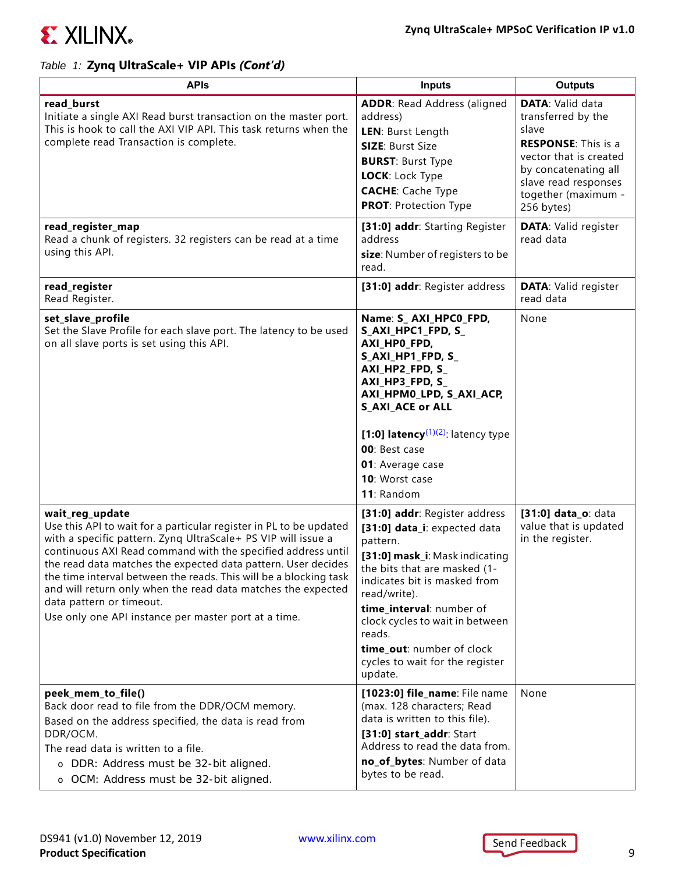

| <b>APIs</b>                                                                                                                                                                                                                                                                                                                                                                                                                                                                                                      | <b>Inputs</b>                                                                                                                                                                                                                                                                                                                                   | <b>Outputs</b>                                                                                                                                                                                      |
|------------------------------------------------------------------------------------------------------------------------------------------------------------------------------------------------------------------------------------------------------------------------------------------------------------------------------------------------------------------------------------------------------------------------------------------------------------------------------------------------------------------|-------------------------------------------------------------------------------------------------------------------------------------------------------------------------------------------------------------------------------------------------------------------------------------------------------------------------------------------------|-----------------------------------------------------------------------------------------------------------------------------------------------------------------------------------------------------|
| read_burst<br>Initiate a single AXI Read burst transaction on the master port.<br>This is hook to call the AXI VIP API. This task returns when the<br>complete read Transaction is complete.                                                                                                                                                                                                                                                                                                                     | <b>ADDR: Read Address (aligned</b><br>address)<br>LEN: Burst Length<br><b>SIZE: Burst Size</b><br><b>BURST: Burst Type</b><br>LOCK: Lock Type<br><b>CACHE:</b> Cache Type<br><b>PROT: Protection Type</b>                                                                                                                                       | <b>DATA: Valid data</b><br>transferred by the<br>slave<br><b>RESPONSE:</b> This is a<br>vector that is created<br>by concatenating all<br>slave read responses<br>together (maximum -<br>256 bytes) |
| read_register_map<br>Read a chunk of registers. 32 registers can be read at a time<br>using this API.                                                                                                                                                                                                                                                                                                                                                                                                            | [31:0] addr: Starting Register<br>address<br>size: Number of registers to be<br>read.                                                                                                                                                                                                                                                           | <b>DATA: Valid register</b><br>read data                                                                                                                                                            |
| read_register<br>Read Register.                                                                                                                                                                                                                                                                                                                                                                                                                                                                                  | [31:0] addr: Register address                                                                                                                                                                                                                                                                                                                   | <b>DATA: Valid register</b><br>read data                                                                                                                                                            |
| set_slave_profile<br>Set the Slave Profile for each slave port. The latency to be used<br>on all slave ports is set using this API.                                                                                                                                                                                                                                                                                                                                                                              | Name: S_AXI_HPC0_FPD,<br>S_AXI_HPC1_FPD, S_<br>AXI_HPO_FPD,<br>S_AXI_HP1_FPD, S_<br>AXI_HP2_FPD, S_<br>AXI_HP3_FPD, S_<br>AXI_HPM0_LPD, S_AXI_ACP,<br><b>S_AXI_ACE or ALL</b><br>[1:0] latency $(1)(2)$ : latency type<br>00: Best case<br>01: Average case<br>10: Worst case<br>11: Random                                                     | None                                                                                                                                                                                                |
| wait_reg_update<br>Use this API to wait for a particular register in PL to be updated<br>with a specific pattern. Zyng UltraScale+ PS VIP will issue a<br>continuous AXI Read command with the specified address until<br>the read data matches the expected data pattern. User decides<br>the time interval between the reads. This will be a blocking task<br>and will return only when the read data matches the expected<br>data pattern or timeout.<br>Use only one API instance per master port at a time. | [31:0] addr: Register address<br>[31:0] data_i: expected data<br>pattern.<br>[31:0] mask_i: Mask indicating<br>the bits that are masked (1-<br>indicates bit is masked from<br>read/write).<br>time_interval: number of<br>clock cycles to wait in between<br>reads.<br>time_out: number of clock<br>cycles to wait for the register<br>update. | [31:0] data_o: data<br>value that is updated<br>in the register.                                                                                                                                    |
| peek_mem_to_file()<br>Back door read to file from the DDR/OCM memory.<br>Based on the address specified, the data is read from<br>DDR/OCM.<br>The read data is written to a file.<br>o DDR: Address must be 32-bit aligned.<br>o OCM: Address must be 32-bit aligned.                                                                                                                                                                                                                                            | [1023:0] file_name: File name<br>(max. 128 characters; Read<br>data is written to this file).<br>[31:0] start_addr: Start<br>Address to read the data from.<br>no_of_bytes: Number of data<br>bytes to be read.                                                                                                                                 | None                                                                                                                                                                                                |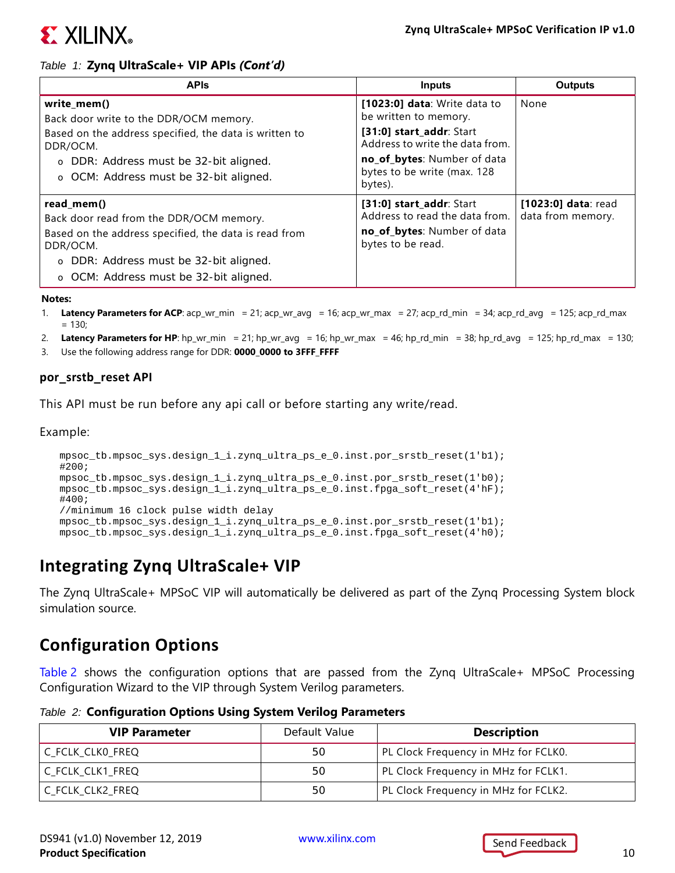

| <b>APIS</b>                                                                                                                                                                                                     | <b>Inputs</b>                                                                                                                                                                                 | <b>Outputs</b>                           |
|-----------------------------------------------------------------------------------------------------------------------------------------------------------------------------------------------------------------|-----------------------------------------------------------------------------------------------------------------------------------------------------------------------------------------------|------------------------------------------|
| write_mem()<br>Back door write to the DDR/OCM memory.<br>Based on the address specified, the data is written to<br>DDR/OCM.<br>o DDR: Address must be 32-bit aligned.<br>o OCM: Address must be 32-bit aligned. | [1023:0] data: Write data to<br>be written to memory.<br>[31:0] start_addr: Start<br>Address to write the data from.<br>no_of_bytes: Number of data<br>bytes to be write (max. 128<br>bytes). | None                                     |
| read_mem()<br>Back door read from the DDR/OCM memory.<br>Based on the address specified, the data is read from<br>DDR/OCM.<br>o DDR: Address must be 32-bit aligned.<br>o OCM: Address must be 32-bit aligned.  | [31:0] start_addr: Start<br>Address to read the data from.<br>no_of_bytes: Number of data<br>bytes to be read.                                                                                | [1023:0] data: read<br>data from memory. |

#### **Notes:**

- <span id="page-9-1"></span>1. **Latency Parameters for ACP**: acp\_wr\_min = 21; acp\_wr\_avg = 16; acp\_wr\_max = 27; acp\_rd\_min = 34; acp\_rd\_avg = 125; acp\_rd\_max  $= 130$
- <span id="page-9-2"></span>2. **Latency Parameters for HP**: hp\_wr\_min = 21; hp\_wr\_avg = 16; hp\_wr\_max = 46; hp\_rd\_min = 38; hp\_rd\_avg = 125; hp\_rd\_max = 130;
- 3. Use the following address range for DDR: **0000\_0000 to 3FFF\_FFFF**

#### <span id="page-9-0"></span>**por\_srstb\_reset API**

This API must be run before any api call or before starting any write/read.

Example:

```
mpsoc_tb.mpsoc_sys.design_1_i.zynq_ultra_ps_e_0.inst.por_srstb_reset(1'b1);
#200;
mpsoc_tb.mpsoc_sys.design_1_i.zynq_ultra_ps_e_0.inst.por_srstb_reset(1'b0);
mpsoc_tb.mpsoc_sys.design_1_i.zynq_ultra_ps_e_0.inst.fpga_soft_reset(4'hF);
#400;
//minimum 16 clock pulse width delay
mpsoc_tb.mpsoc_sys.design_1_i.zynq_ultra_ps_e_0.inst.por_srstb_reset(1'b1);
mpsoc_tb.mpsoc_sys.design_1_i.zynq_ultra_ps_e_0.inst.fpga_soft_reset(4'h0);
```
### **Integrating Zynq UltraScale+ VIP**

The Zynq UltraScale+ MPSoC VIP will automatically be delivered as part of the Zynq Processing System block simulation source.

### **Configuration Options**

[Table 2](#page-9-3) shows the configuration options that are passed from the Zynq UltraScale+ MPSoC Processing Configuration Wizard to the VIP through System Verilog parameters.

<span id="page-9-3"></span>*Table 2:* **Configuration Options Using System Verilog Parameters**

| <b>VIP Parameter</b> | Default Value | <b>Description</b>                   |
|----------------------|---------------|--------------------------------------|
| C_FCLK_CLK0_FREQ     | 50            | PL Clock Frequency in MHz for FCLK0. |
| C FCLK CLK1 FREQ     | 50            | PL Clock Frequency in MHz for FCLK1. |
| C_FCLK_CLK2_FREQ     | 50            | PL Clock Frequency in MHz for FCLK2. |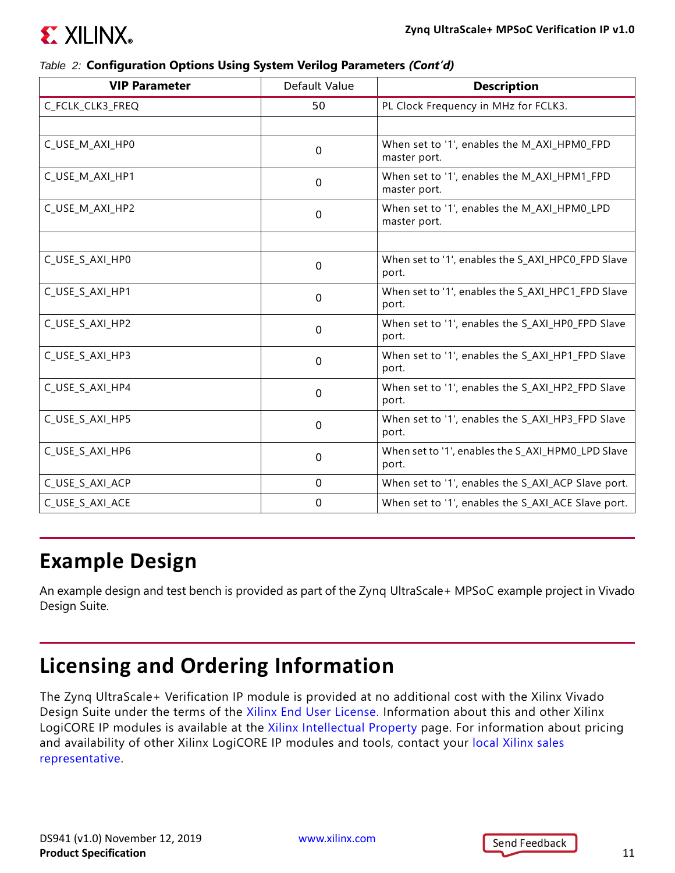

#### *Table 2:* **Configuration Options Using System Verilog Parameters** *(Cont'd)*

| <b>VIP Parameter</b> | Default Value | <b>Description</b>                                          |
|----------------------|---------------|-------------------------------------------------------------|
| C_FCLK_CLK3_FREQ     | 50            | PL Clock Frequency in MHz for FCLK3.                        |
|                      |               |                                                             |
| C_USE_M_AXI_HP0      | $\mathbf 0$   | When set to '1', enables the M_AXI_HPM0_FPD<br>master port. |
| C_USE_M_AXI_HP1      | 0             | When set to '1', enables the M_AXI_HPM1_FPD<br>master port. |
| C USE M AXI HP2      | $\mathbf{0}$  | When set to '1', enables the M_AXI_HPM0_LPD<br>master port. |
|                      |               |                                                             |
| C_USE_S_AXI_HP0      | $\mathbf 0$   | When set to '1', enables the S_AXI_HPC0_FPD Slave<br>port.  |
| C_USE_S_AXI_HP1      | $\Omega$      | When set to '1', enables the S_AXI_HPC1_FPD Slave<br>port.  |
| C_USE_S_AXI_HP2      | $\Omega$      | When set to '1', enables the S_AXI_HP0_FPD Slave<br>port.   |
| C_USE_S_AXI_HP3      | $\mathbf 0$   | When set to '1', enables the S_AXI_HP1_FPD Slave<br>port.   |
| C_USE_S_AXI_HP4      | $\Omega$      | When set to '1', enables the S_AXI_HP2_FPD Slave<br>port.   |
| C_USE_S_AXI_HP5      | $\mathbf{0}$  | When set to '1', enables the S_AXI_HP3_FPD Slave<br>port.   |
| C_USE_S_AXI_HP6      | $\mathbf 0$   | When set to '1', enables the S_AXI_HPM0_LPD Slave<br>port.  |
| C_USE_S_AXI_ACP      | $\Omega$      | When set to '1', enables the S_AXI_ACP Slave port.          |
| C_USE_S_AXI_ACE      | $\mathbf{0}$  | When set to '1', enables the S_AXI_ACE Slave port.          |

### **Example Design**

An example design and test bench is provided as part of the Zynq UltraScale+ MPSoC example project in Vivado Design Suite.

## **Licensing and Ordering Information**

The Zynq UltraScale+ Verification IP module is provided at no additional cost with the Xilinx Vivado Design Suite under the terms of the [Xilinx End User License](https://www.xilinx.com/cgi-bin/docs/rdoc?t=eula). Information about this and other Xilinx LogiCORE IP modules is available at the [Xilinx Intellectual Property](https://www.xilinx.com/products/intellectual-property.html) page. For information about pricing and availability of other Xilinx LogiCORE IP modules and tools, contact your local Xilinx sales [representative.](https://www.xilinx.com/about/contact.html)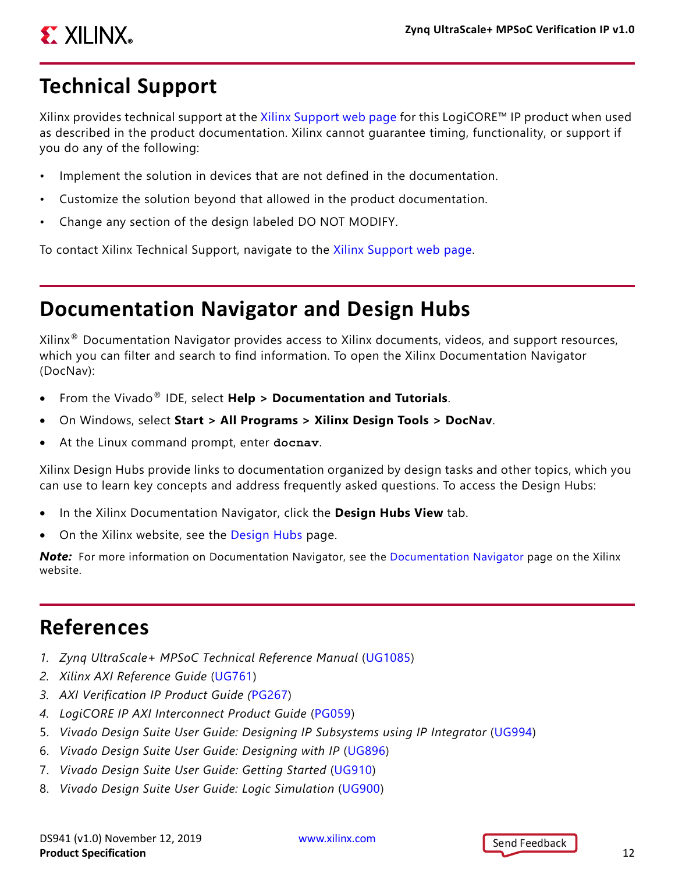# **EX XILINX**

## **Technical Support**

Xilinx provides technical support at the [Xilinx Support web page](http://www.xilinx.com/support) for this LogiCORE™ IP product when used as described in the product documentation. Xilinx cannot guarantee timing, functionality, or support if you do any of the following:

- Implement the solution in devices that are not defined in the documentation.
- Customize the solution beyond that allowed in the product documentation.
- Change any section of the design labeled DO NOT MODIFY.

To contact Xilinx Technical Support, navigate to the [Xilinx Support web page](http://www.xilinx.com/support).

### **Documentation Navigator and Design Hubs**

Xilinx® Documentation Navigator provides access to Xilinx documents, videos, and support resources, which you can filter and search to find information. To open the Xilinx Documentation Navigator (DocNav):

- From the Vivado® IDE, select **Help > Documentation and Tutorials**.
- On Windows, select **Start > All Programs > Xilinx Design Tools > DocNav**.
- At the Linux command prompt, enter docnav.

Xilinx Design Hubs provide links to documentation organized by design tasks and other topics, which you can use to learn key concepts and address frequently asked questions. To access the Design Hubs:

- In the Xilinx Documentation Navigator, click the **Design Hubs View** tab.
- On the Xilinx website, see the [Design Hubs](https://www.xilinx.com/cgi-bin/docs/ndoc?t=design+hubs) page.

**Note:** For more information on [Documentation Navigator](https://www.xilinx.com/cgi-bin/docs/rdoc?t=docnav), see the Documentation Navigator page on the Xilinx website.

### **References**

- *1. Zynq UltraScale+ MPSoC Technical Reference Manual* ([UG1085\)](https://www.xilinx.com/cgi-bin/docs/ndoc?t=user_guides;d=ug1085-zynq-ultrascale-trm.pdf)
- *2. Xilinx AXI Reference Guide* ([UG761](https://www.xilinx.com/support/documentation/ip_documentation/ug761_axi_reference_guide.pdf))
- *3. AXI Verification IP Product Guide (*[PG267](https://www.xilinx.com/cgi-bin/docs/ipdoc?c=axi_vip;v=latest;d=pg267-axi-vip.pdf))
- *4. LogiCORE IP AXI Interconnect Product Guide* [\(PG059\)](http://www.xilinx.com/cgi-bin/docs/ipdoc?c=axi_interconnect;v=latest;d=pg059-axi-interconnect.pdf)
- 5. *Vivado Design Suite User Guide: Designing IP Subsystems using IP Integrator* ([UG994](http://www.xilinx.com/cgi-bin/docs/rdoc?v=latest;d=ug994-vivado-ip-subsystems.pdf))
- 6. *Vivado Design Suite User Guide: Designing with IP* [\(UG896\)](http://www.xilinx.com/cgi-bin/docs/rdoc?v=latest;d=ug896-vivado-ip.pdf)
- 7. *Vivado Design Suite User Guide: Getting Started* ([UG910\)](http://www.xilinx.com/cgi-bin/docs/rdoc?v=latest;d=ug910-vivado-getting-started.pdf)
- 8. *Vivado Design Suite User Guide: Logic Simulation* ([UG900](http://www.xilinx.com/cgi-bin/docs/rdoc?v=latest;d=ug900-vivado-logic-simulation.pdf))